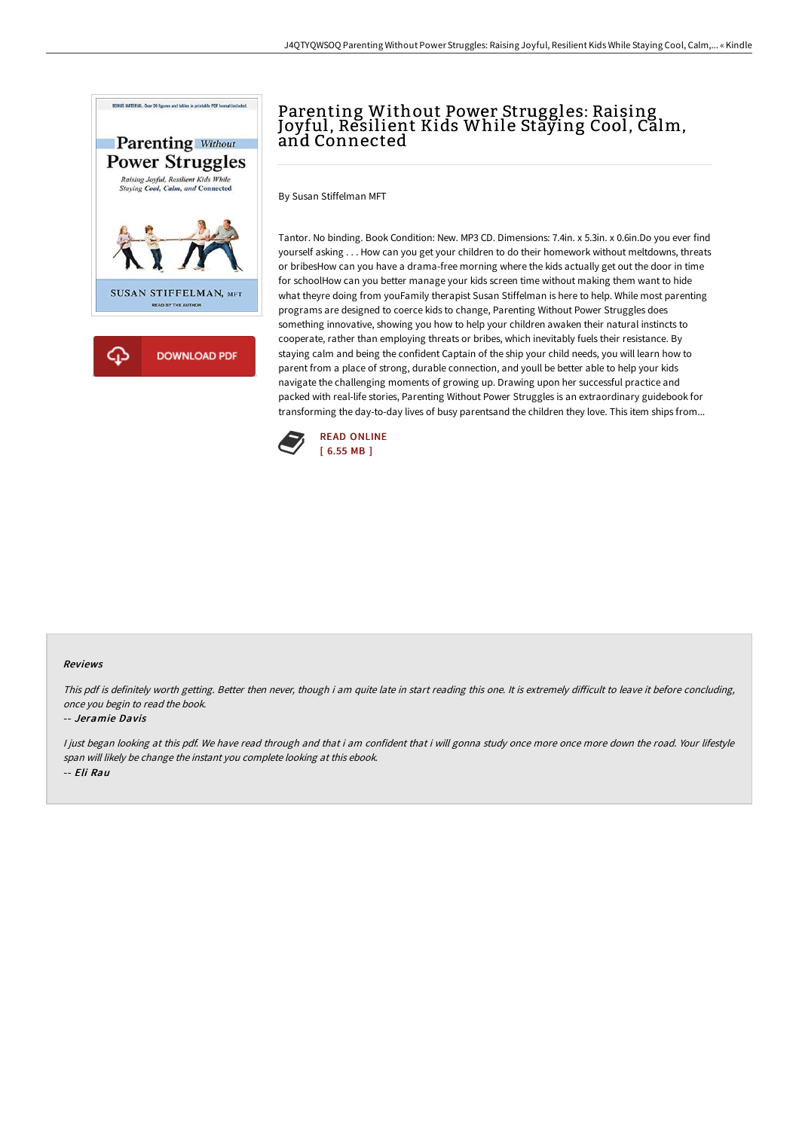

# Parenting Without Power Struggles: Raising Joyful, Resilient Kids While Staying Cool, Calm, and Connected

By Susan Stiffelman MFT

Tantor. No binding. Book Condition: New. MP3 CD. Dimensions: 7.4in. x 5.3in. x 0.6in.Do you ever find yourself asking . . . How can you get your children to do their homework without meltdowns, threats or bribesHow can you have a drama-free morning where the kids actually get out the door in time for schoolHow can you better manage your kids screen time without making them want to hide what theyre doing from youFamily therapist Susan Stiffelman is here to help. While most parenting programs are designed to coerce kids to change, Parenting Without Power Struggles does something innovative, showing you how to help your children awaken their natural instincts to cooperate, rather than employing threats or bribes, which inevitably fuels their resistance. By staying calm and being the confident Captain of the ship your child needs, you will learn how to parent from a place of strong, durable connection, and youll be better able to help your kids navigate the challenging moments of growing up. Drawing upon her successful practice and packed with real-life stories, Parenting Without Power Struggles is an extraordinary guidebook for transforming the day-to-day lives of busy parentsand the children they love. This item ships from...



#### Reviews

This pdf is definitely worth getting. Better then never, though i am quite late in start reading this one. It is extremely difficult to leave it before concluding, once you begin to read the book.

#### -- Jeramie Davis

I just began looking at this pdf. We have read through and that i am confident that i will gonna study once more once more down the road. Your lifestyle span will likely be change the instant you complete looking at this ebook. -- Eli Rau